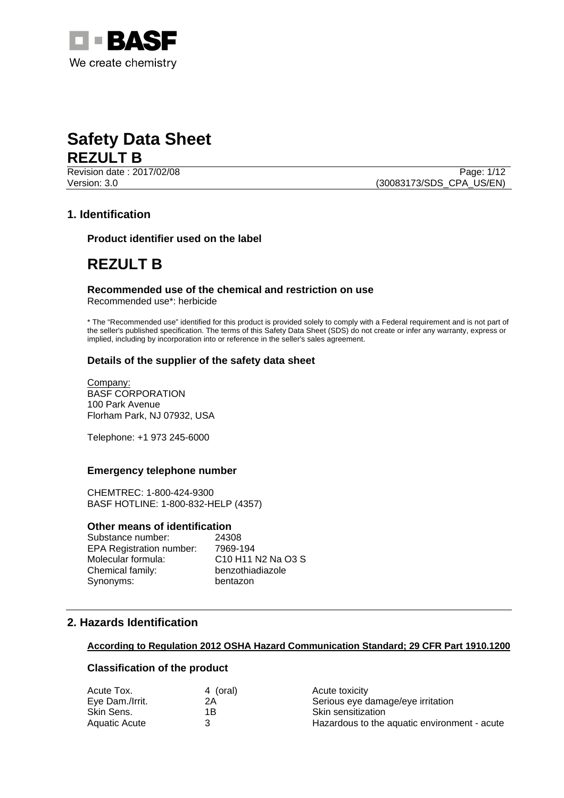



Revision date : 2017/02/08 Page: 1/12 Version: 3.0 (30083173/SDS\_CPA\_US/EN)

## **1. Identification**

**Product identifier used on the label** 

## **REZULT B**

## **Recommended use of the chemical and restriction on use**

Recommended use\*: herbicide

\* The "Recommended use" identified for this product is provided solely to comply with a Federal requirement and is not part of the seller's published specification. The terms of this Safety Data Sheet (SDS) do not create or infer any warranty, express or implied, including by incorporation into or reference in the seller's sales agreement.

## **Details of the supplier of the safety data sheet**

Company: BASF CORPORATION 100 Park Avenue Florham Park, NJ 07932, USA

Telephone: +1 973 245-6000

## **Emergency telephone number**

CHEMTREC: 1-800-424-9300 BASF HOTLINE: 1-800-832-HELP (4357)

## **Other means of identification**

| Substance number:               | 24308                                                                          |
|---------------------------------|--------------------------------------------------------------------------------|
| <b>EPA Registration number:</b> | 7969-194                                                                       |
| Molecular formula:              | C <sub>10</sub> H <sub>11</sub> N <sub>2</sub> N <sub>a</sub> O <sub>3</sub> S |
| Chemical family:                | benzothiadiazole                                                               |
| Synonyms:                       | bentazon                                                                       |

## **2. Hazards Identification**

## **According to Regulation 2012 OSHA Hazard Communication Standard; 29 CFR Part 1910.1200**

## **Classification of the product**

| Acute Tox.      | 4 (oral) | Acute toxicity                               |
|-----------------|----------|----------------------------------------------|
| Eye Dam./Irrit. | 2Α       | Serious eye damage/eye irritation            |
| Skin Sens.      | 1Β       | Skin sensitization                           |
| Aquatic Acute   |          | Hazardous to the aquatic environment - acute |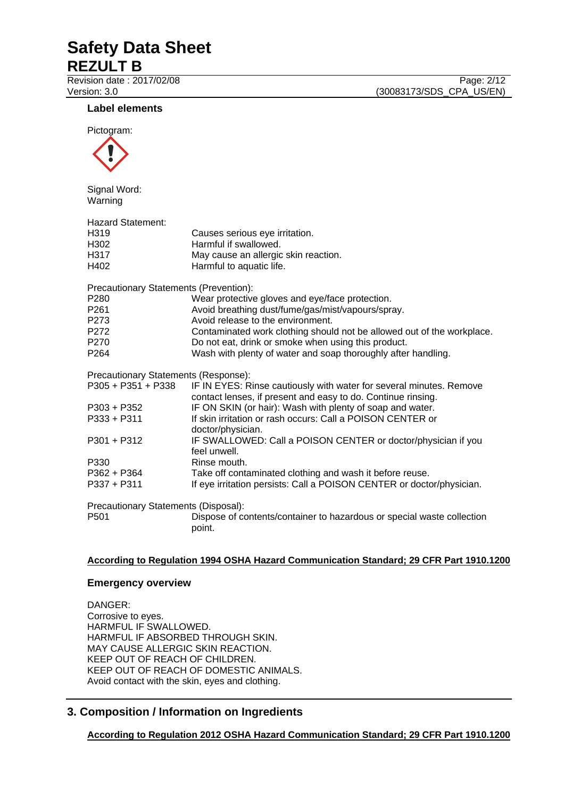# **Safety Data Sheet**

**REZULT B**

Revision date : 2017/02/08 Page: 2/12 Version: 3.0 (30083173/SDS\_CPA\_US/EN)

**Label elements** 



Signal Word: Warning

| ,,,,,,,,,,                             |                                                                                  |
|----------------------------------------|----------------------------------------------------------------------------------|
| Hazard Statement:                      |                                                                                  |
| H319                                   | Causes serious eye irritation.                                                   |
| H302                                   | Harmful if swallowed.                                                            |
| H317                                   | May cause an allergic skin reaction.                                             |
| H402                                   | Harmful to aquatic life.                                                         |
| Precautionary Statements (Prevention): |                                                                                  |
| P280                                   | Wear protective gloves and eye/face protection.                                  |
| P261                                   | Avoid breathing dust/fume/gas/mist/vapours/spray.                                |
| P273                                   | Avoid release to the environment.                                                |
| P272                                   | Contaminated work clothing should not be allowed out of the workplace.           |
| P270                                   | Do not eat, drink or smoke when using this product.                              |
| P264                                   | Wash with plenty of water and soap thoroughly after handling.                    |
| Precautionary Statements (Response):   |                                                                                  |
| P305 + P351 + P338                     | IF IN EYES: Rinse cautiously with water for several minutes. Remove              |
|                                        | contact lenses, if present and easy to do. Continue rinsing.                     |
| P303 + P352                            | IF ON SKIN (or hair): Wash with plenty of soap and water.                        |
| P333 + P311                            | If skin irritation or rash occurs: Call a POISON CENTER or<br>doctor/physician.  |
| P301 + P312                            | IF SWALLOWED: Call a POISON CENTER or doctor/physician if you<br>feel unwell.    |
| P330                                   | Rinse mouth.                                                                     |
| P362 + P364                            | Take off contaminated clothing and wash it before reuse.                         |
| P337 + P311                            | If eye irritation persists: Call a POISON CENTER or doctor/physician.            |
| Precautionary Statements (Disposal):   |                                                                                  |
| P501                                   | Dispose of contents/container to hazardous or special waste collection<br>point. |

## **According to Regulation 1994 OSHA Hazard Communication Standard; 29 CFR Part 1910.1200**

## **Emergency overview**

DANGER: Corrosive to eyes. HARMFUL IF SWALLOWED. HARMFUL IF ABSORBED THROUGH SKIN. MAY CAUSE ALLERGIC SKIN REACTION. KEEP OUT OF REACH OF CHILDREN. KEEP OUT OF REACH OF DOMESTIC ANIMALS. Avoid contact with the skin, eyes and clothing.

## **3. Composition / Information on Ingredients**

**According to Regulation 2012 OSHA Hazard Communication Standard; 29 CFR Part 1910.1200**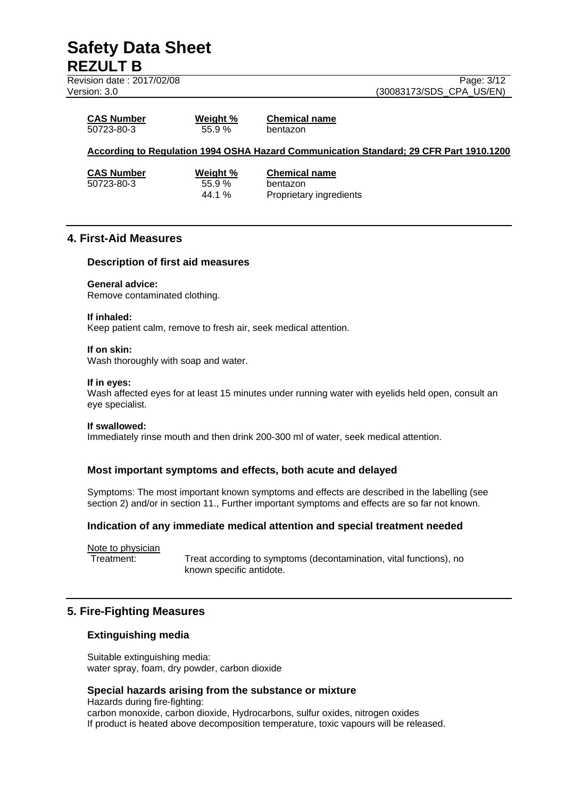**Revision date : 2017/02/08** Page: 3/12

Version: 3.0 **(30083173/SDS\_CPA\_US/EN)** 

| <b>CAS Number</b> | Weight % | <b>Chemical name</b> |
|-------------------|----------|----------------------|
| 50723-80-3        | 55.9%    | bentazon             |

## **According to Regulation 1994 OSHA Hazard Communication Standard; 29 CFR Part 1910.1200**

**CAS Number Weight % Chemical name** 50723-80-3 55.9 % bentazon 44.1 % Proprietary ingredients

## **4. First-Aid Measures**

## **Description of first aid measures**

#### **General advice:**

Remove contaminated clothing.

#### **If inhaled:**

Keep patient calm, remove to fresh air, seek medical attention.

#### **If on skin:**

Wash thoroughly with soap and water.

#### **If in eyes:**

Wash affected eyes for at least 15 minutes under running water with eyelids held open, consult an eye specialist.

#### **If swallowed:**

Immediately rinse mouth and then drink 200-300 ml of water, seek medical attention.

## **Most important symptoms and effects, both acute and delayed**

Symptoms: The most important known symptoms and effects are described in the labelling (see section 2) and/or in section 11., Further important symptoms and effects are so far not known.

## **Indication of any immediate medical attention and special treatment needed**

Note to physician

Treatment: Treat according to symptoms (decontamination, vital functions), no known specific antidote.

## **5. Fire-Fighting Measures**

## **Extinguishing media**

Suitable extinguishing media: water spray, foam, dry powder, carbon dioxide

## **Special hazards arising from the substance or mixture**

Hazards during fire-fighting: carbon monoxide, carbon dioxide, Hydrocarbons, sulfur oxides, nitrogen oxides If product is heated above decomposition temperature, toxic vapours will be released.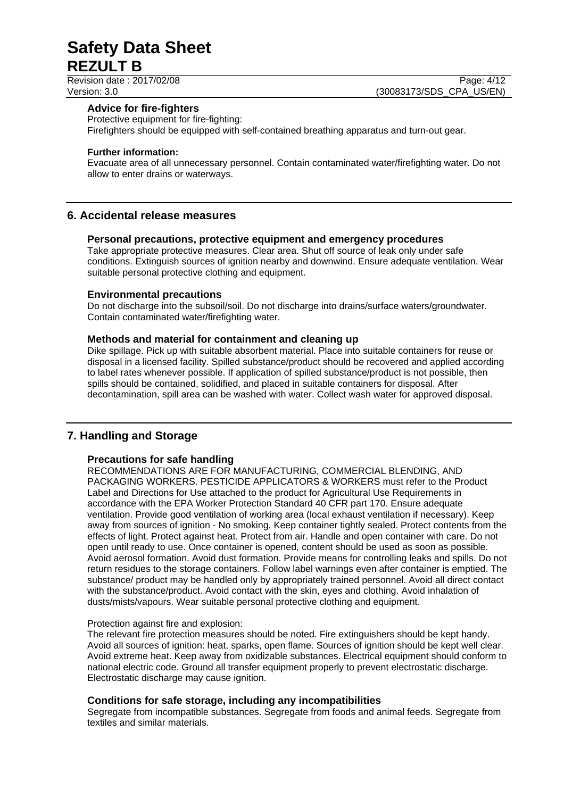Revision date : 2017/02/08 Page: 4/12

Version: 3.0 **(30083173/SDS\_CPA\_US/EN)** 

## **Advice for fire-fighters**

Protective equipment for fire-fighting: Firefighters should be equipped with self-contained breathing apparatus and turn-out gear.

#### **Further information:**

Evacuate area of all unnecessary personnel. Contain contaminated water/firefighting water. Do not allow to enter drains or waterways.

## **6. Accidental release measures**

## **Personal precautions, protective equipment and emergency procedures**

Take appropriate protective measures. Clear area. Shut off source of leak only under safe conditions. Extinguish sources of ignition nearby and downwind. Ensure adequate ventilation. Wear suitable personal protective clothing and equipment.

## **Environmental precautions**

Do not discharge into the subsoil/soil. Do not discharge into drains/surface waters/groundwater. Contain contaminated water/firefighting water.

## **Methods and material for containment and cleaning up**

Dike spillage. Pick up with suitable absorbent material. Place into suitable containers for reuse or disposal in a licensed facility. Spilled substance/product should be recovered and applied according to label rates whenever possible. If application of spilled substance/product is not possible, then spills should be contained, solidified, and placed in suitable containers for disposal. After decontamination, spill area can be washed with water. Collect wash water for approved disposal.

## **7. Handling and Storage**

## **Precautions for safe handling**

RECOMMENDATIONS ARE FOR MANUFACTURING, COMMERCIAL BLENDING, AND PACKAGING WORKERS. PESTICIDE APPLICATORS & WORKERS must refer to the Product Label and Directions for Use attached to the product for Agricultural Use Requirements in accordance with the EPA Worker Protection Standard 40 CFR part 170. Ensure adequate ventilation. Provide good ventilation of working area (local exhaust ventilation if necessary). Keep away from sources of ignition - No smoking. Keep container tightly sealed. Protect contents from the effects of light. Protect against heat. Protect from air. Handle and open container with care. Do not open until ready to use. Once container is opened, content should be used as soon as possible. Avoid aerosol formation. Avoid dust formation. Provide means for controlling leaks and spills. Do not return residues to the storage containers. Follow label warnings even after container is emptied. The substance/ product may be handled only by appropriately trained personnel. Avoid all direct contact with the substance/product. Avoid contact with the skin, eyes and clothing. Avoid inhalation of dusts/mists/vapours. Wear suitable personal protective clothing and equipment.

## Protection against fire and explosion:

The relevant fire protection measures should be noted. Fire extinguishers should be kept handy. Avoid all sources of ignition: heat, sparks, open flame. Sources of ignition should be kept well clear. Avoid extreme heat. Keep away from oxidizable substances. Electrical equipment should conform to national electric code. Ground all transfer equipment properly to prevent electrostatic discharge. Electrostatic discharge may cause ignition.

## **Conditions for safe storage, including any incompatibilities**

Segregate from incompatible substances. Segregate from foods and animal feeds. Segregate from textiles and similar materials.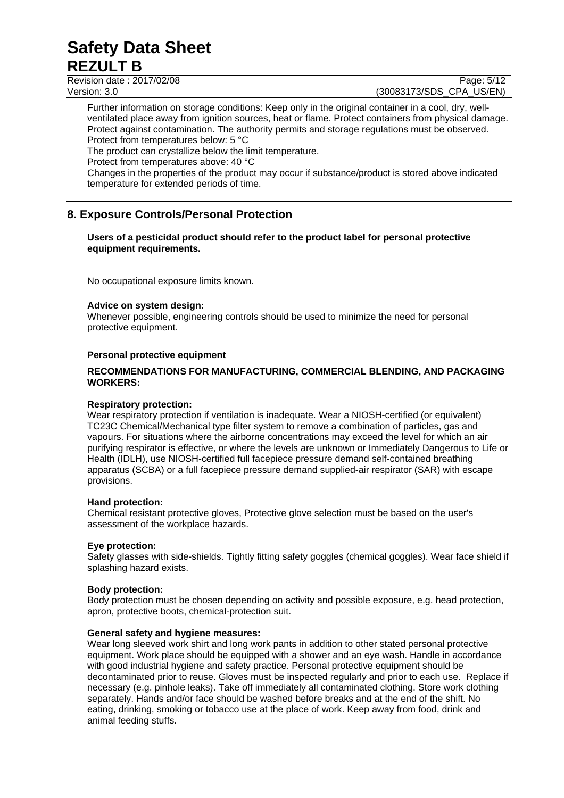Revision date : 2017/02/08 Page: 5/12

Version: 3.0 (30083173/SDS\_CPA\_US/EN)

Further information on storage conditions: Keep only in the original container in a cool, dry, wellventilated place away from ignition sources, heat or flame. Protect containers from physical damage. Protect against contamination. The authority permits and storage regulations must be observed. Protect from temperatures below: 5 °C

The product can crystallize below the limit temperature.

Protect from temperatures above: 40 °C

Changes in the properties of the product may occur if substance/product is stored above indicated temperature for extended periods of time.

## **8. Exposure Controls/Personal Protection**

## **Users of a pesticidal product should refer to the product label for personal protective equipment requirements.**

No occupational exposure limits known.

## **Advice on system design:**

Whenever possible, engineering controls should be used to minimize the need for personal protective equipment.

## **Personal protective equipment**

## **RECOMMENDATIONS FOR MANUFACTURING, COMMERCIAL BLENDING, AND PACKAGING WORKERS:**

## **Respiratory protection:**

Wear respiratory protection if ventilation is inadequate. Wear a NIOSH-certified (or equivalent) TC23C Chemical/Mechanical type filter system to remove a combination of particles, gas and vapours. For situations where the airborne concentrations may exceed the level for which an air purifying respirator is effective, or where the levels are unknown or Immediately Dangerous to Life or Health (IDLH), use NIOSH-certified full facepiece pressure demand self-contained breathing apparatus (SCBA) or a full facepiece pressure demand supplied-air respirator (SAR) with escape provisions.

## **Hand protection:**

Chemical resistant protective gloves, Protective glove selection must be based on the user's assessment of the workplace hazards.

## **Eye protection:**

Safety glasses with side-shields. Tightly fitting safety goggles (chemical goggles). Wear face shield if splashing hazard exists.

## **Body protection:**

Body protection must be chosen depending on activity and possible exposure, e.g. head protection, apron, protective boots, chemical-protection suit.

## **General safety and hygiene measures:**

Wear long sleeved work shirt and long work pants in addition to other stated personal protective equipment. Work place should be equipped with a shower and an eye wash. Handle in accordance with good industrial hygiene and safety practice. Personal protective equipment should be decontaminated prior to reuse. Gloves must be inspected regularly and prior to each use. Replace if necessary (e.g. pinhole leaks). Take off immediately all contaminated clothing. Store work clothing separately. Hands and/or face should be washed before breaks and at the end of the shift. No eating, drinking, smoking or tobacco use at the place of work. Keep away from food, drink and animal feeding stuffs.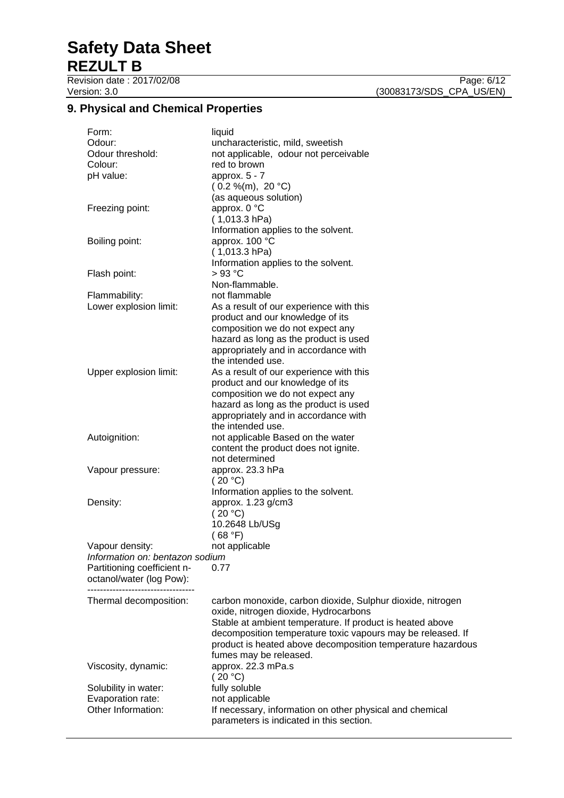**9. Physical and Chemical Properties** 

| Form:<br>Odour:<br>Odour threshold:<br>Colour:<br>pH value: | liquid<br>uncharacteristic, mild, sweetish<br>not applicable, odour not perceivable<br>red to brown<br>approx. $5 - 7$<br>(0.2 %(m), 20 °C)<br>(as aqueous solution)                                                                                       |
|-------------------------------------------------------------|------------------------------------------------------------------------------------------------------------------------------------------------------------------------------------------------------------------------------------------------------------|
| Freezing point:                                             | approx. 0 °C<br>$(1,013.3)$ hPa)<br>Information applies to the solvent.                                                                                                                                                                                    |
| Boiling point:                                              | approx. 100 °C<br>$(1,013.3)$ hPa)<br>Information applies to the solvent.                                                                                                                                                                                  |
| Flash point:                                                | >93 °C<br>Non-flammable.                                                                                                                                                                                                                                   |
| Flammability:                                               | not flammable                                                                                                                                                                                                                                              |
| Lower explosion limit:                                      | As a result of our experience with this<br>product and our knowledge of its<br>composition we do not expect any                                                                                                                                            |
|                                                             | hazard as long as the product is used<br>appropriately and in accordance with<br>the intended use.                                                                                                                                                         |
| Upper explosion limit:                                      | As a result of our experience with this<br>product and our knowledge of its<br>composition we do not expect any<br>hazard as long as the product is used<br>appropriately and in accordance with<br>the intended use.                                      |
| Autoignition:                                               | not applicable Based on the water<br>content the product does not ignite.<br>not determined                                                                                                                                                                |
| Vapour pressure:                                            | approx. 23.3 hPa<br>(20 °C)<br>Information applies to the solvent.                                                                                                                                                                                         |
| Density:                                                    | approx. 1.23 g/cm3<br>(20 °C)<br>10.2648 Lb/USg<br>(68 °F)                                                                                                                                                                                                 |
| Vapour density:                                             | not applicable                                                                                                                                                                                                                                             |
| Information on: bentazon sodium                             |                                                                                                                                                                                                                                                            |
| Partitioning coefficient n-                                 | 0.77                                                                                                                                                                                                                                                       |
| octanol/water (log Pow):                                    |                                                                                                                                                                                                                                                            |
| Thermal decomposition:                                      | carbon monoxide, carbon dioxide, Sulphur dioxide, nitrogen                                                                                                                                                                                                 |
|                                                             | oxide, nitrogen dioxide, Hydrocarbons<br>Stable at ambient temperature. If product is heated above<br>decomposition temperature toxic vapours may be released. If<br>product is heated above decomposition temperature hazardous<br>fumes may be released. |
| Viscosity, dynamic:                                         | approx. 22.3 mPa.s<br>(20 °C)                                                                                                                                                                                                                              |
| Solubility in water:                                        | fully soluble                                                                                                                                                                                                                                              |
| Evaporation rate:                                           | not applicable                                                                                                                                                                                                                                             |
| Other Information:                                          | If necessary, information on other physical and chemical<br>parameters is indicated in this section.                                                                                                                                                       |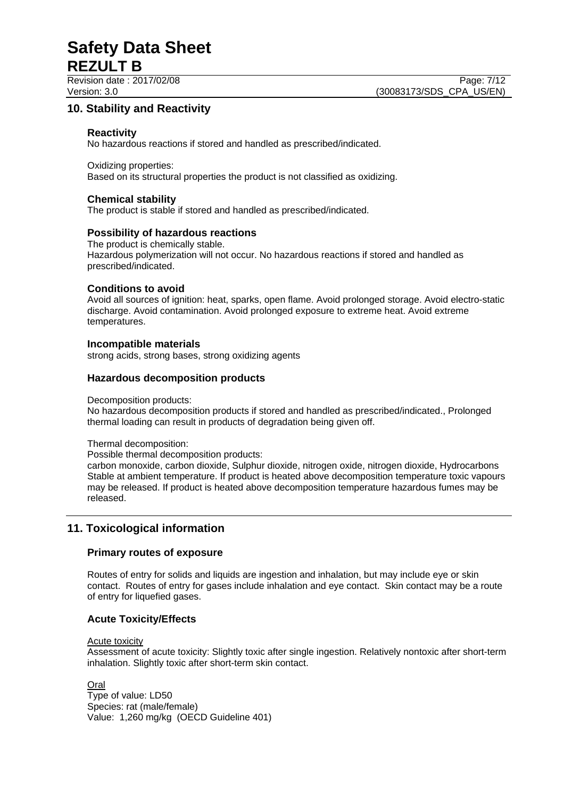## **10. Stability and Reactivity**

## **Reactivity**

No hazardous reactions if stored and handled as prescribed/indicated.

Oxidizing properties: Based on its structural properties the product is not classified as oxidizing.

## **Chemical stability**

The product is stable if stored and handled as prescribed/indicated.

## **Possibility of hazardous reactions**

The product is chemically stable. Hazardous polymerization will not occur. No hazardous reactions if stored and handled as prescribed/indicated.

## **Conditions to avoid**

Avoid all sources of ignition: heat, sparks, open flame. Avoid prolonged storage. Avoid electro-static discharge. Avoid contamination. Avoid prolonged exposure to extreme heat. Avoid extreme temperatures.

## **Incompatible materials**

strong acids, strong bases, strong oxidizing agents

## **Hazardous decomposition products**

#### Decomposition products:

No hazardous decomposition products if stored and handled as prescribed/indicated., Prolonged thermal loading can result in products of degradation being given off.

Thermal decomposition:

Possible thermal decomposition products:

carbon monoxide, carbon dioxide, Sulphur dioxide, nitrogen oxide, nitrogen dioxide, Hydrocarbons Stable at ambient temperature. If product is heated above decomposition temperature toxic vapours may be released. If product is heated above decomposition temperature hazardous fumes may be released.

## **11. Toxicological information**

## **Primary routes of exposure**

Routes of entry for solids and liquids are ingestion and inhalation, but may include eye or skin contact. Routes of entry for gases include inhalation and eye contact. Skin contact may be a route of entry for liquefied gases.

## **Acute Toxicity/Effects**

#### Acute toxicity

Assessment of acute toxicity: Slightly toxic after single ingestion. Relatively nontoxic after short-term inhalation. Slightly toxic after short-term skin contact.

Oral

Type of value: LD50 Species: rat (male/female) Value: 1,260 mg/kg (OECD Guideline 401)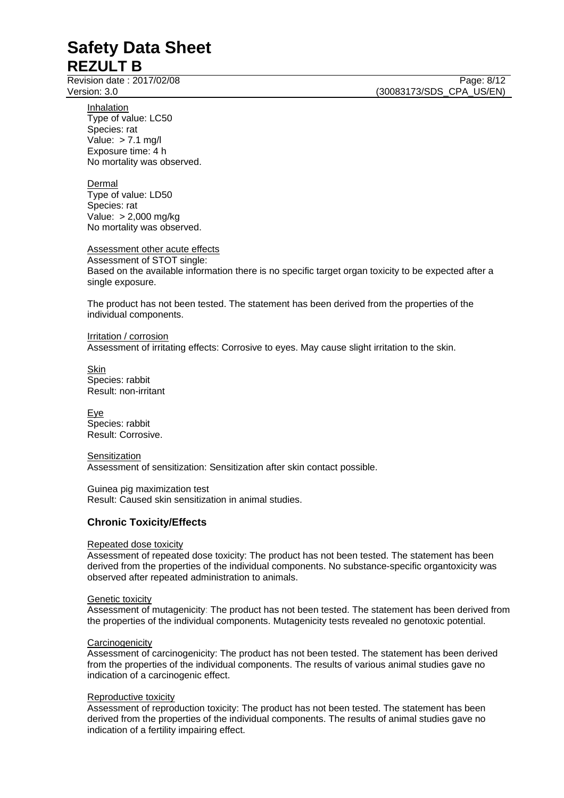Revision date : 2017/02/08 Page: 8/12

Version: 3.0 (30083173/SDS\_CPA\_US/EN)

Inhalation Type of value: LC50 Species: rat Value: > 7.1 mg/l Exposure time: 4 h No mortality was observed.

Dermal

Type of value: LD50 Species: rat Value: > 2,000 mg/kg No mortality was observed.

Assessment other acute effects

Assessment of STOT single: Based on the available information there is no specific target organ toxicity to be expected after a single exposure.

The product has not been tested. The statement has been derived from the properties of the individual components.

Irritation / corrosion Assessment of irritating effects: Corrosive to eyes. May cause slight irritation to the skin.

Skin Species: rabbit Result: non-irritant

Eye Species: rabbit Result: Corrosive.

**Sensitization** Assessment of sensitization: Sensitization after skin contact possible.

Guinea pig maximization test Result: Caused skin sensitization in animal studies.

## **Chronic Toxicity/Effects**

## Repeated dose toxicity

Assessment of repeated dose toxicity: The product has not been tested. The statement has been derived from the properties of the individual components. No substance-specific organtoxicity was observed after repeated administration to animals.

## Genetic toxicity

Assessment of mutagenicity: The product has not been tested. The statement has been derived from the properties of the individual components. Mutagenicity tests revealed no genotoxic potential.

## **Carcinogenicity**

Assessment of carcinogenicity: The product has not been tested. The statement has been derived from the properties of the individual components. The results of various animal studies gave no indication of a carcinogenic effect.

## Reproductive toxicity

Assessment of reproduction toxicity: The product has not been tested. The statement has been derived from the properties of the individual components. The results of animal studies gave no indication of a fertility impairing effect.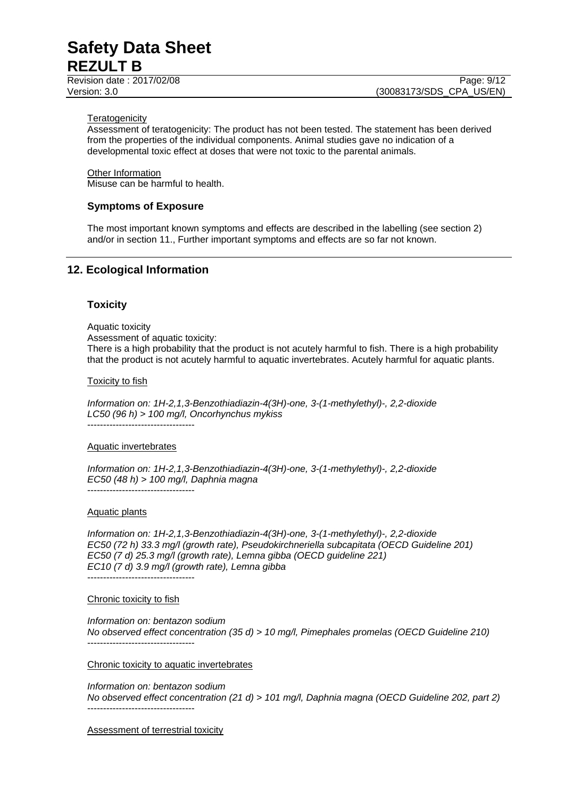Revision date : 2017/02/08 Page: 9/12

#### **Teratogenicity**

Assessment of teratogenicity: The product has not been tested. The statement has been derived from the properties of the individual components. Animal studies gave no indication of a developmental toxic effect at doses that were not toxic to the parental animals.

Other Information Misuse can be harmful to health.

## **Symptoms of Exposure**

The most important known symptoms and effects are described in the labelling (see section 2) and/or in section 11., Further important symptoms and effects are so far not known.

## **12. Ecological Information**

## **Toxicity**

Aquatic toxicity Assessment of aquatic toxicity: There is a high probability that the product is not acutely harmful to fish. There is a high probability that the product is not acutely harmful to aquatic invertebrates. Acutely harmful for aquatic plants.

#### Toxicity to fish

*Information on: 1H-2,1,3-Benzothiadiazin-4(3H)-one, 3-(1-methylethyl)-, 2,2-dioxide LC50 (96 h) > 100 mg/l, Oncorhynchus mykiss* 

----------------------------------

#### Aquatic invertebrates

*Information on: 1H-2,1,3-Benzothiadiazin-4(3H)-one, 3-(1-methylethyl)-, 2,2-dioxide EC50 (48 h) > 100 mg/l, Daphnia magna*  ----------------------------------

Aquatic plants

*Information on: 1H-2,1,3-Benzothiadiazin-4(3H)-one, 3-(1-methylethyl)-, 2,2-dioxide EC50 (72 h) 33.3 mg/l (growth rate), Pseudokirchneriella subcapitata (OECD Guideline 201) EC50 (7 d) 25.3 mg/l (growth rate), Lemna gibba (OECD guideline 221) EC10 (7 d) 3.9 mg/l (growth rate), Lemna gibba*  ----------------------------------

#### Chronic toxicity to fish

*Information on: bentazon sodium No observed effect concentration (35 d) > 10 mg/l, Pimephales promelas (OECD Guideline 210)*  ----------------------------------

Chronic toxicity to aquatic invertebrates

*Information on: bentazon sodium No observed effect concentration (21 d) > 101 mg/l, Daphnia magna (OECD Guideline 202, part 2)*  ----------------------------------

Assessment of terrestrial toxicity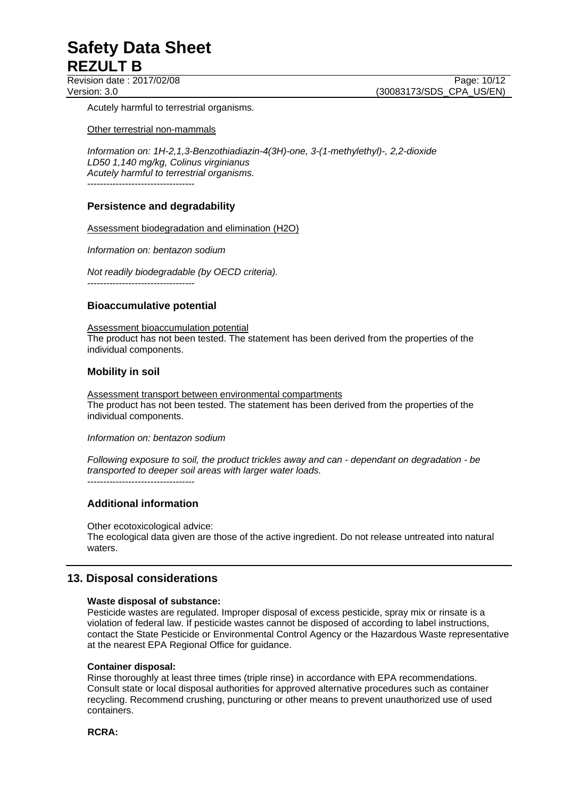Revision date : 2017/02/08 Page: 10/12

Version: 3.0 **(30083173/SDS\_CPA\_US/EN)** 

Acutely harmful to terrestrial organisms.

Other terrestrial non-mammals

*Information on: 1H-2,1,3-Benzothiadiazin-4(3H)-one, 3-(1-methylethyl)-, 2,2-dioxide LD50 1,140 mg/kg, Colinus virginianus Acutely harmful to terrestrial organisms.*   $-$ 

## **Persistence and degradability**

Assessment biodegradation and elimination (H2O)

*Information on: bentazon sodium* 

*Not readily biodegradable (by OECD criteria).*  ----------------------------------

## **Bioaccumulative potential**

Assessment bioaccumulation potential The product has not been tested. The statement has been derived from the properties of the individual components.

## **Mobility in soil**

Assessment transport between environmental compartments The product has not been tested. The statement has been derived from the properties of the individual components.

*Information on: bentazon sodium* 

*Following exposure to soil, the product trickles away and can - dependant on degradation - be transported to deeper soil areas with larger water loads.*  $-$ 

## **Additional information**

Other ecotoxicological advice: The ecological data given are those of the active ingredient. Do not release untreated into natural waters.

## **13. Disposal considerations**

## **Waste disposal of substance:**

Pesticide wastes are regulated. Improper disposal of excess pesticide, spray mix or rinsate is a violation of federal law. If pesticide wastes cannot be disposed of according to label instructions, contact the State Pesticide or Environmental Control Agency or the Hazardous Waste representative at the nearest EPA Regional Office for guidance.

## **Container disposal:**

Rinse thoroughly at least three times (triple rinse) in accordance with EPA recommendations. Consult state or local disposal authorities for approved alternative procedures such as container recycling. Recommend crushing, puncturing or other means to prevent unauthorized use of used containers.

**RCRA:**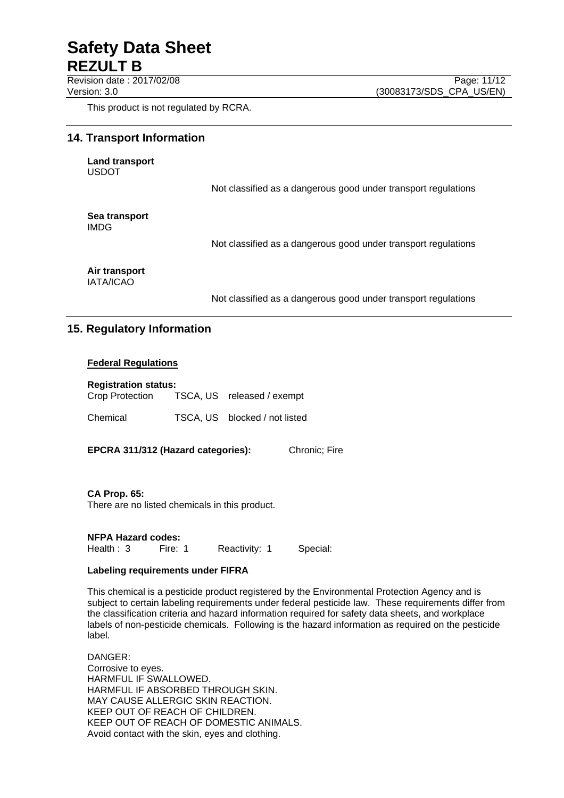Revision date : 2017/02/08 Page: 11/12

This product is not regulated by RCRA.

## **14. Transport Information**

**Land transport**  USDOT

Not classified as a dangerous good under transport regulations

**Sea transport**  IMDG

Not classified as a dangerous good under transport regulations

**Air transport**  IATA/ICAO

Not classified as a dangerous good under transport regulations

## **15. Regulatory Information**

## **Federal Regulations**

#### **Registration status:**

| Crop Protection | TSCA, US released / exempt    |
|-----------------|-------------------------------|
| Chemical        | TSCA, US blocked / not listed |

**EPCRA 311/312 (Hazard categories):** Chronic; Fire

**CA Prop. 65:** 

There are no listed chemicals in this product.

**NFPA Hazard codes:**

Health : 3 Fire: 1 Reactivity: 1 Special:

## **Labeling requirements under FIFRA**

This chemical is a pesticide product registered by the Environmental Protection Agency and is subject to certain labeling requirements under federal pesticide law. These requirements differ from the classification criteria and hazard information required for safety data sheets, and workplace labels of non-pesticide chemicals. Following is the hazard information as required on the pesticide label.

DANGER: Corrosive to eyes. HARMFUL IF SWALLOWED. HARMFUL IF ABSORBED THROUGH SKIN. MAY CAUSE ALLERGIC SKIN REACTION. KEEP OUT OF REACH OF CHILDREN. KEEP OUT OF REACH OF DOMESTIC ANIMALS. Avoid contact with the skin, eyes and clothing.